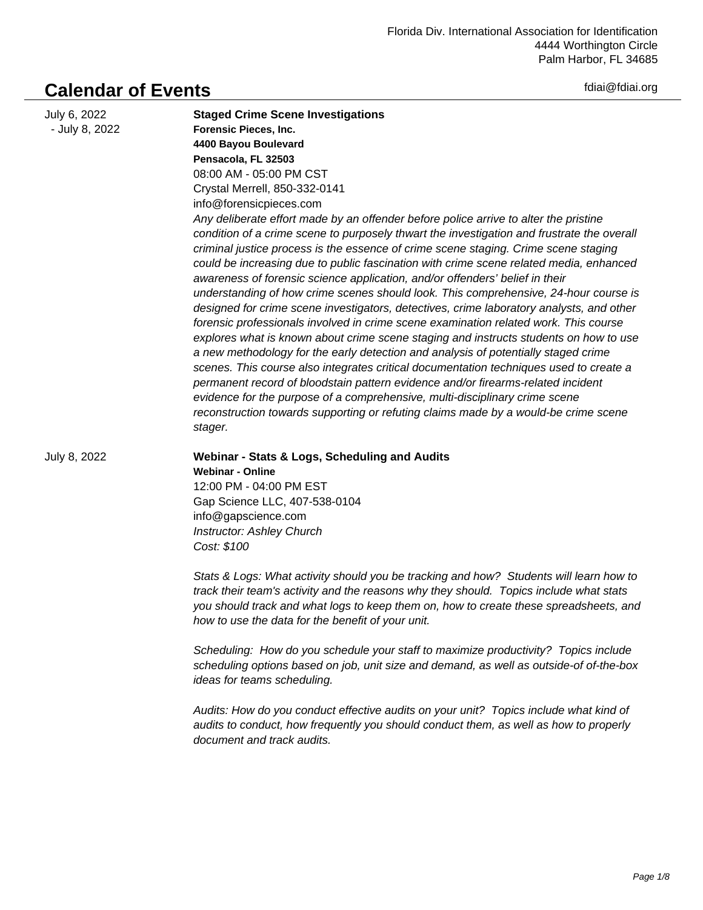fdiai@fdiai.org

## **Calendar of Events**

| July 6, 2022<br>- July 8, 2022 | <b>Staged Crime Scene Investigations</b><br>Forensic Pieces, Inc.<br>4400 Bayou Boulevard<br>Pensacola, FL 32503<br>08:00 AM - 05:00 PM CST<br>Crystal Merrell, 850-332-0141<br>info@forensicpieces.com<br>Any deliberate effort made by an offender before police arrive to alter the pristine<br>condition of a crime scene to purposely thwart the investigation and frustrate the overall<br>criminal justice process is the essence of crime scene staging. Crime scene staging<br>could be increasing due to public fascination with crime scene related media, enhanced<br>awareness of forensic science application, and/or offenders' belief in their<br>understanding of how crime scenes should look. This comprehensive, 24-hour course is<br>designed for crime scene investigators, detectives, crime laboratory analysts, and other<br>forensic professionals involved in crime scene examination related work. This course<br>explores what is known about crime scene staging and instructs students on how to use<br>a new methodology for the early detection and analysis of potentially staged crime<br>scenes. This course also integrates critical documentation techniques used to create a<br>permanent record of bloodstain pattern evidence and/or firearms-related incident<br>evidence for the purpose of a comprehensive, multi-disciplinary crime scene<br>reconstruction towards supporting or refuting claims made by a would-be crime scene<br>stager. |
|--------------------------------|------------------------------------------------------------------------------------------------------------------------------------------------------------------------------------------------------------------------------------------------------------------------------------------------------------------------------------------------------------------------------------------------------------------------------------------------------------------------------------------------------------------------------------------------------------------------------------------------------------------------------------------------------------------------------------------------------------------------------------------------------------------------------------------------------------------------------------------------------------------------------------------------------------------------------------------------------------------------------------------------------------------------------------------------------------------------------------------------------------------------------------------------------------------------------------------------------------------------------------------------------------------------------------------------------------------------------------------------------------------------------------------------------------------------------------------------------------------------------------------|
| July 8, 2022                   | Webinar - Stats & Logs, Scheduling and Audits<br><b>Webinar - Online</b><br>12:00 PM - 04:00 PM EST<br>Gap Science LLC, 407-538-0104<br>info@gapscience.com<br><b>Instructor: Ashley Church</b><br>Cost: \$100<br>Stats & Logs: What activity should you be tracking and how? Students will learn how to<br>track their team's activity and the reasons why they should. Topics include what stats<br>you should track and what logs to keep them on, how to create these spreadsheets, and<br>how to use the data for the benefit of your unit.<br>Scheduling: How do you schedule your staff to maximize productivity? Topics include<br>scheduling options based on job, unit size and demand, as well as outside-of of-the-box<br>ideas for teams scheduling.<br>Audits: How do you conduct effective audits on your unit? Topics include what kind of<br>audits to conduct, how frequently you should conduct them, as well as how to properly<br>document and track audits.                                                                                                                                                                                                                                                                                                                                                                                                                                                                                                        |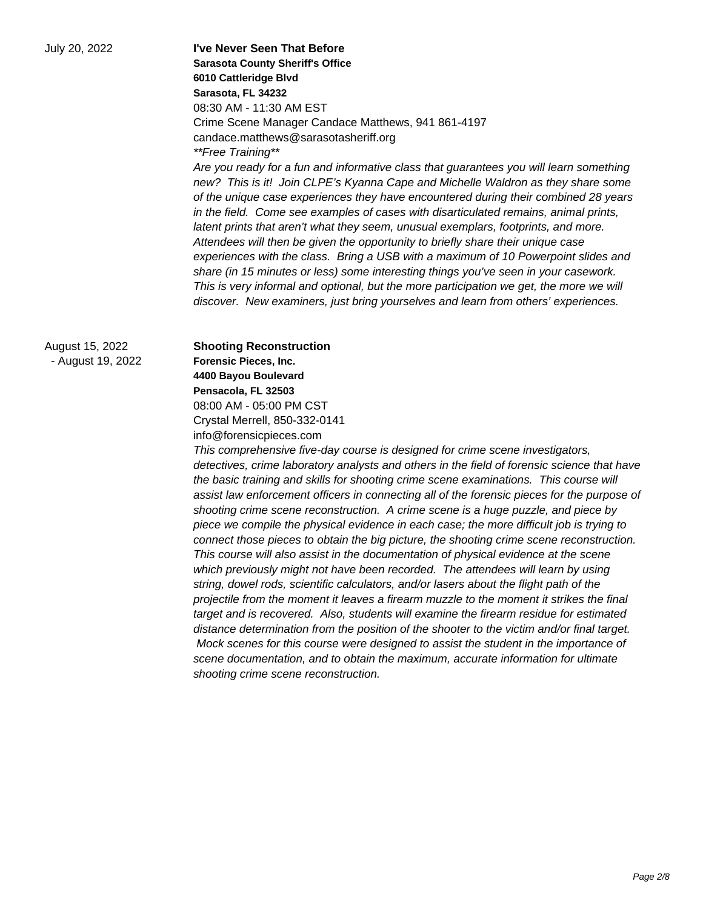July 20, 2022 **I've Never Seen That Before Sarasota County Sheriff's Office 6010 Cattleridge Blvd Sarasota, FL 34232** 08:30 AM - 11:30 AM EST Crime Scene Manager Candace Matthews, 941 861-4197 candace.matthews@sarasotasheriff.org \*\*Free Training\*\*

> Are you ready for a fun and informative class that guarantees you will learn something new? This is it! Join CLPE's Kyanna Cape and Michelle Waldron as they share some of the unique case experiences they have encountered during their combined 28 years in the field. Come see examples of cases with disarticulated remains, animal prints, latent prints that aren't what they seem, unusual exemplars, footprints, and more. Attendees will then be given the opportunity to briefly share their unique case experiences with the class. Bring a USB with a maximum of 10 Powerpoint slides and share (in 15 minutes or less) some interesting things you've seen in your casework. This is very informal and optional, but the more participation we get, the more we will discover. New examiners, just bring yourselves and learn from others' experiences.

August 15, 2022 - August 19, 2022

**Shooting Reconstruction Forensic Pieces, Inc. 4400 Bayou Boulevard Pensacola, FL 32503** 08:00 AM - 05:00 PM CST Crystal Merrell, 850-332-0141 info@forensicpieces.com

This comprehensive five-day course is designed for crime scene investigators, detectives, crime laboratory analysts and others in the field of forensic science that have the basic training and skills for shooting crime scene examinations. This course will assist law enforcement officers in connecting all of the forensic pieces for the purpose of shooting crime scene reconstruction. A crime scene is a huge puzzle, and piece by piece we compile the physical evidence in each case; the more difficult job is trying to connect those pieces to obtain the big picture, the shooting crime scene reconstruction. This course will also assist in the documentation of physical evidence at the scene which previously might not have been recorded. The attendees will learn by using string, dowel rods, scientific calculators, and/or lasers about the flight path of the projectile from the moment it leaves a firearm muzzle to the moment it strikes the final target and is recovered. Also, students will examine the firearm residue for estimated distance determination from the position of the shooter to the victim and/or final target. Mock scenes for this course were designed to assist the student in the importance of scene documentation, and to obtain the maximum, accurate information for ultimate shooting crime scene reconstruction.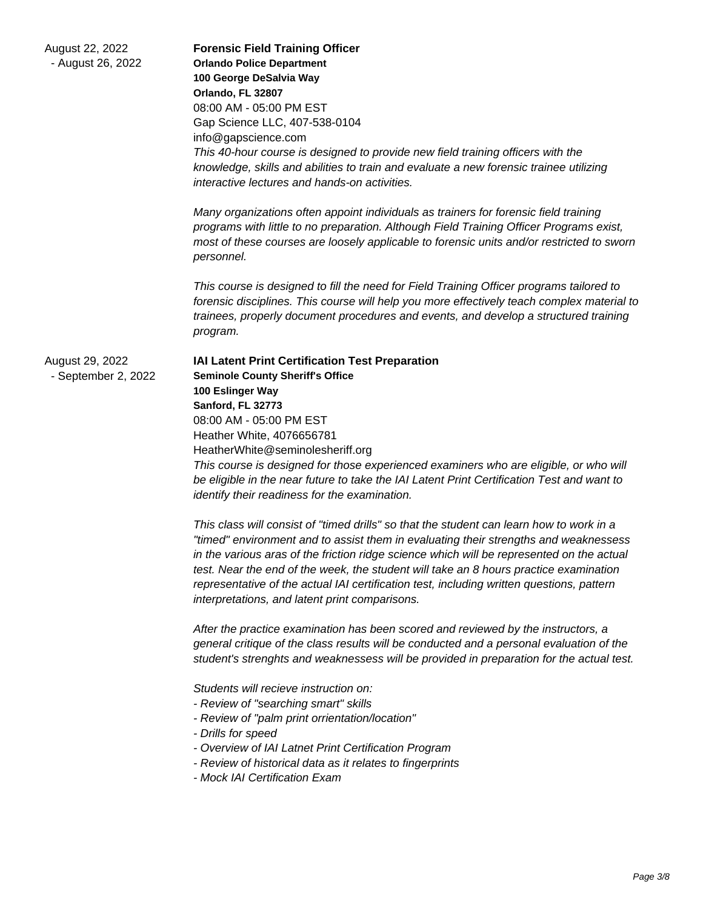| August 22, 2022<br>- August 26, 2022   | <b>Forensic Field Training Officer</b><br><b>Orlando Police Department</b><br>100 George DeSalvia Way<br>Orlando, FL 32807<br>08:00 AM - 05:00 PM EST<br>Gap Science LLC, 407-538-0104<br>info@gapscience.com<br>This 40-hour course is designed to provide new field training officers with the<br>knowledge, skills and abilities to train and evaluate a new forensic trainee utilizing<br>interactive lectures and hands-on activities.                                                                           |
|----------------------------------------|-----------------------------------------------------------------------------------------------------------------------------------------------------------------------------------------------------------------------------------------------------------------------------------------------------------------------------------------------------------------------------------------------------------------------------------------------------------------------------------------------------------------------|
|                                        | Many organizations often appoint individuals as trainers for forensic field training<br>programs with little to no preparation. Although Field Training Officer Programs exist,<br>most of these courses are loosely applicable to forensic units and/or restricted to sworn<br>personnel.                                                                                                                                                                                                                            |
|                                        | This course is designed to fill the need for Field Training Officer programs tailored to<br>forensic disciplines. This course will help you more effectively teach complex material to<br>trainees, properly document procedures and events, and develop a structured training<br>program.                                                                                                                                                                                                                            |
| August 29, 2022<br>- September 2, 2022 | IAI Latent Print Certification Test Preparation<br><b>Seminole County Sheriff's Office</b><br>100 Eslinger Way<br>Sanford, FL 32773<br>08:00 AM - 05:00 PM EST<br>Heather White, 4076656781<br>HeatherWhite@seminolesheriff.org<br>This course is designed for those experienced examiners who are eligible, or who will<br>be eligible in the near future to take the IAI Latent Print Certification Test and want to<br>identify their readiness for the examination.                                               |
|                                        | This class will consist of "timed drills" so that the student can learn how to work in a<br>"timed" environment and to assist them in evaluating their strengths and weaknessess<br>in the various aras of the friction ridge science which will be represented on the actual<br>test. Near the end of the week, the student will take an 8 hours practice examination<br>representative of the actual IAI certification test, including written questions, pattern<br>interpretations, and latent print comparisons. |
|                                        | After the practice examination has been scored and reviewed by the instructors, a<br>general critique of the class results will be conducted and a personal evaluation of the<br>student's strenghts and weaknessess will be provided in preparation for the actual test.                                                                                                                                                                                                                                             |
|                                        | Students will recieve instruction on:<br>- Review of "searching smart" skills<br>- Review of "palm print orrientation/location"<br>- Drills for speed<br>- Overview of IAI Latnet Print Certification Program<br>- Review of historical data as it relates to fingerprints<br>- Mock IAI Certification Exam                                                                                                                                                                                                           |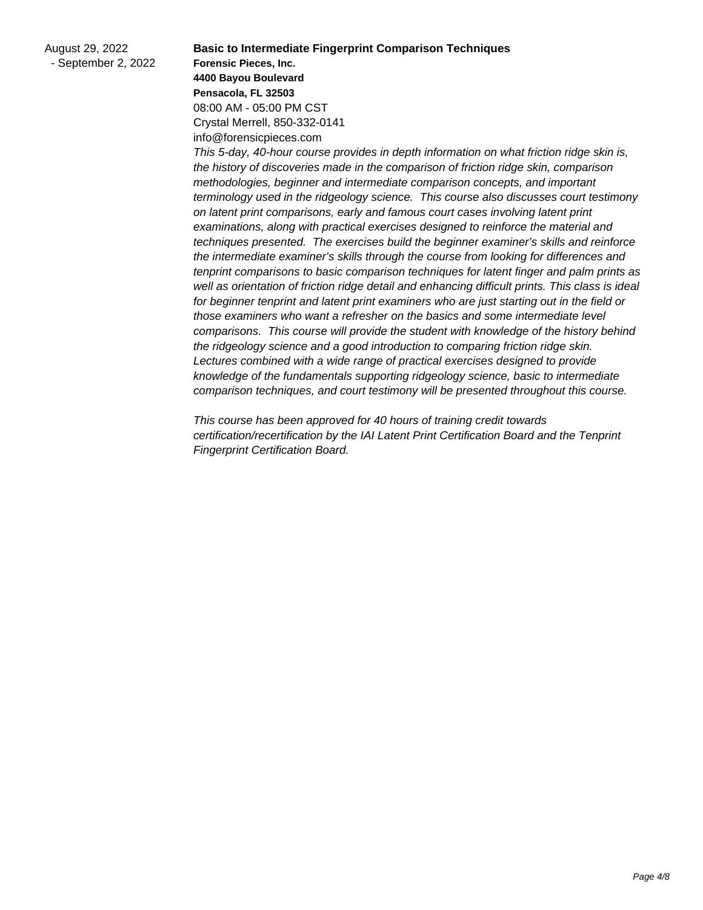**Basic to Intermediate Fingerprint Comparison Techniques Forensic Pieces, Inc. 4400 Bayou Boulevard Pensacola, FL 32503** 08:00 AM - 05:00 PM CST Crystal Merrell, 850-332-0141 info@forensicpieces.com

This 5-day, 40-hour course provides in depth information on what friction ridge skin is, the history of discoveries made in the comparison of friction ridge skin, comparison methodologies, beginner and intermediate comparison concepts, and important terminology used in the ridgeology science. This course also discusses court testimony on latent print comparisons, early and famous court cases involving latent print examinations, along with practical exercises designed to reinforce the material and techniques presented. The exercises build the beginner examiner's skills and reinforce the intermediate examiner's skills through the course from looking for differences and tenprint comparisons to basic comparison techniques for latent finger and palm prints as well as orientation of friction ridge detail and enhancing difficult prints. This class is ideal for beginner tenprint and latent print examiners who are just starting out in the field or those examiners who want a refresher on the basics and some intermediate level comparisons. This course will provide the student with knowledge of the history behind the ridgeology science and a good introduction to comparing friction ridge skin. Lectures combined with a wide range of practical exercises designed to provide knowledge of the fundamentals supporting ridgeology science, basic to intermediate comparison techniques, and court testimony will be presented throughout this course.

This course has been approved for 40 hours of training credit towards certification/recertification by the IAI Latent Print Certification Board and the Tenprint Fingerprint Certification Board.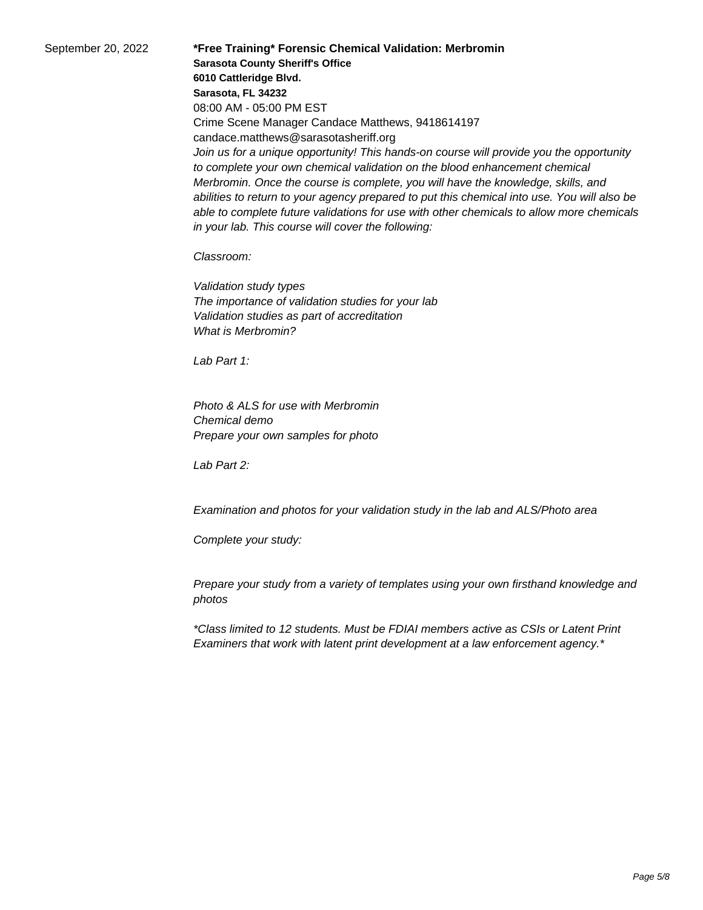September 20, 2022 **\*Free Training\* Forensic Chemical Validation: Merbromin Sarasota County Sheriff's Office 6010 Cattleridge Blvd. Sarasota, FL 34232** 08:00 AM - 05:00 PM EST Crime Scene Manager Candace Matthews, 9418614197 candace.matthews@sarasotasheriff.org Join us for a unique opportunity! This hands-on course will provide you the opportunity to complete your own chemical validation on the blood enhancement chemical Merbromin. Once the course is complete, you will have the knowledge, skills, and abilities to return to your agency prepared to put this chemical into use. You will also be able to complete future validations for use with other chemicals to allow more chemicals in your lab. This course will cover the following:

Classroom:

 Validation study types The importance of validation studies for your lab Validation studies as part of accreditation What is Merbromin?

Lab Part 1:

 Photo & ALS for use with Merbromin Chemical demo Prepare your own samples for photo

 $l$  ah Part 2:

 Examination and photos for your validation study in the lab and ALS/Photo area

Complete your study:

 Prepare your study from a variety of templates using your own firsthand knowledge and photos

\*Class limited to 12 students. Must be FDIAI members active as CSIs or Latent Print Examiners that work with latent print development at a law enforcement agency.\*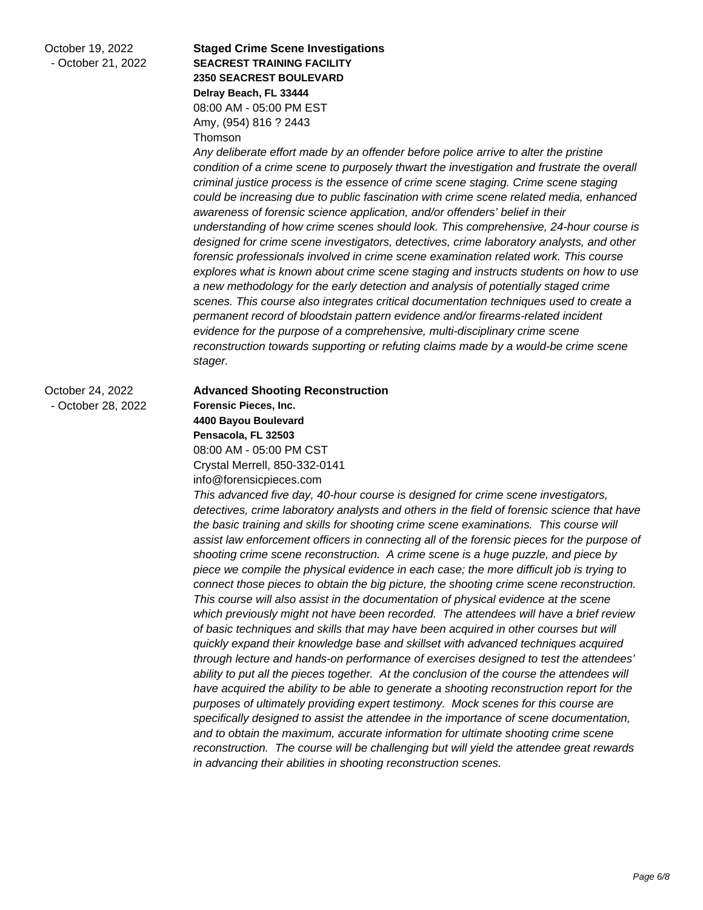October 19, 2022 - October 21, 2022

## **Staged Crime Scene Investigations SEACREST TRAINING FACILITY 2350 SEACREST BOULEVARD Delray Beach, FL 33444** 08:00 AM - 05:00 PM EST Amy, (954) 816 ? 2443 Thomson

Any deliberate effort made by an offender before police arrive to alter the pristine condition of a crime scene to purposely thwart the investigation and frustrate the overall criminal justice process is the essence of crime scene staging. Crime scene staging could be increasing due to public fascination with crime scene related media, enhanced awareness of forensic science application, and/or offenders' belief in their understanding of how crime scenes should look. This comprehensive, 24-hour course is designed for crime scene investigators, detectives, crime laboratory analysts, and other forensic professionals involved in crime scene examination related work. This course explores what is known about crime scene staging and instructs students on how to use a new methodology for the early detection and analysis of potentially staged crime scenes. This course also integrates critical documentation techniques used to create a permanent record of bloodstain pattern evidence and/or firearms-related incident evidence for the purpose of a comprehensive, multi-disciplinary crime scene reconstruction towards supporting or refuting claims made by a would-be crime scene stager.

## October 24, 2022 - October 28, 2022

## **Advanced Shooting Reconstruction Forensic Pieces, Inc. 4400 Bayou Boulevard Pensacola, FL 32503** 08:00 AM - 05:00 PM CST Crystal Merrell, 850-332-0141 info@forensicpieces.com

This advanced five day, 40-hour course is designed for crime scene investigators, detectives, crime laboratory analysts and others in the field of forensic science that have the basic training and skills for shooting crime scene examinations. This course will assist law enforcement officers in connecting all of the forensic pieces for the purpose of shooting crime scene reconstruction. A crime scene is a huge puzzle, and piece by piece we compile the physical evidence in each case; the more difficult job is trying to connect those pieces to obtain the big picture, the shooting crime scene reconstruction. This course will also assist in the documentation of physical evidence at the scene which previously might not have been recorded. The attendees will have a brief review of basic techniques and skills that may have been acquired in other courses but will quickly expand their knowledge base and skillset with advanced techniques acquired through lecture and hands-on performance of exercises designed to test the attendees' ability to put all the pieces together. At the conclusion of the course the attendees will have acquired the ability to be able to generate a shooting reconstruction report for the purposes of ultimately providing expert testimony. Mock scenes for this course are specifically designed to assist the attendee in the importance of scene documentation, and to obtain the maximum, accurate information for ultimate shooting crime scene reconstruction. The course will be challenging but will yield the attendee great rewards in advancing their abilities in shooting reconstruction scenes.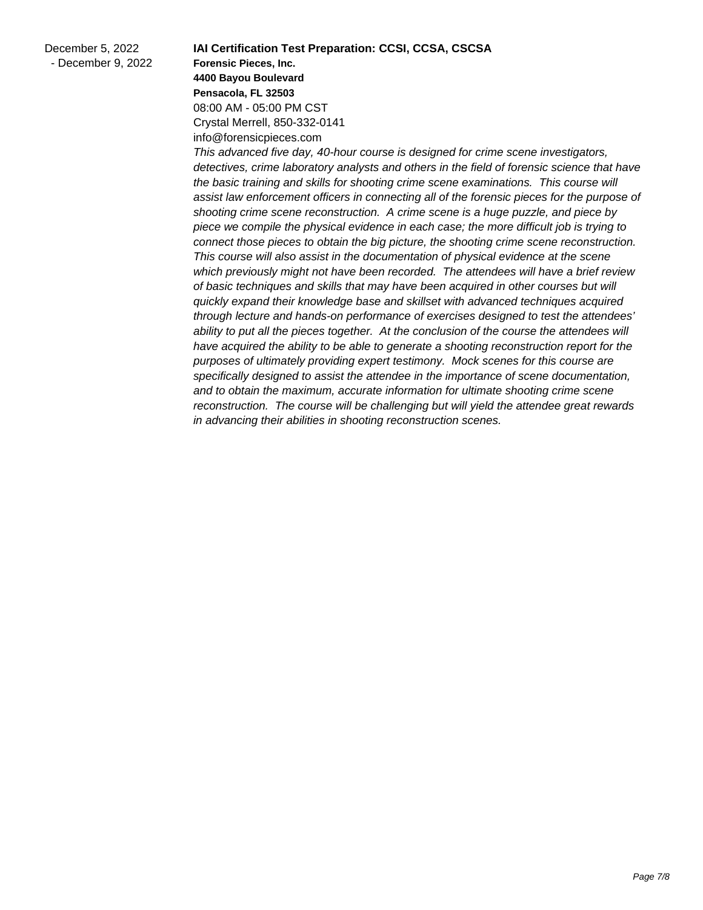**IAI Certification Test Preparation: CCSI, CCSA, CSCSA Forensic Pieces, Inc. 4400 Bayou Boulevard Pensacola, FL 32503** 08:00 AM - 05:00 PM CST Crystal Merrell, 850-332-0141 info@forensicpieces.com

This advanced five day, 40-hour course is designed for crime scene investigators, detectives, crime laboratory analysts and others in the field of forensic science that have the basic training and skills for shooting crime scene examinations. This course will assist law enforcement officers in connecting all of the forensic pieces for the purpose of shooting crime scene reconstruction. A crime scene is a huge puzzle, and piece by piece we compile the physical evidence in each case; the more difficult job is trying to connect those pieces to obtain the big picture, the shooting crime scene reconstruction. This course will also assist in the documentation of physical evidence at the scene which previously might not have been recorded. The attendees will have a brief review of basic techniques and skills that may have been acquired in other courses but will quickly expand their knowledge base and skillset with advanced techniques acquired through lecture and hands-on performance of exercises designed to test the attendees' ability to put all the pieces together. At the conclusion of the course the attendees will have acquired the ability to be able to generate a shooting reconstruction report for the purposes of ultimately providing expert testimony. Mock scenes for this course are specifically designed to assist the attendee in the importance of scene documentation, and to obtain the maximum, accurate information for ultimate shooting crime scene reconstruction. The course will be challenging but will yield the attendee great rewards in advancing their abilities in shooting reconstruction scenes.